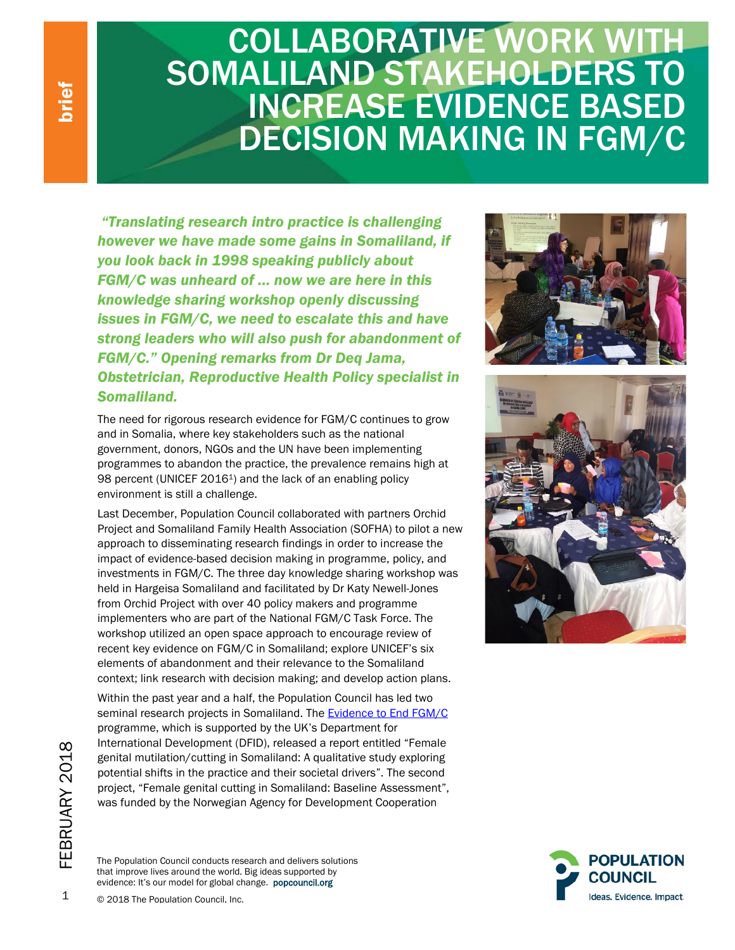## **COLLABORATIVE WORK WITH** SOMALILAND STAKEHOLDERS TO INCREASE EVIDENCE BASED DECISION MAKING IN FGM/C

*"Translating research intro practice is challenging however we have made some gains in Somaliland, if you look back in 1998 speaking publicly about FGM/C was unheard of … now we are here in this knowledge sharing workshop openly discussing issues in FGM/C, we need to escalate this and have strong leaders who will also push for abandonment of FGM/C." Opening remarks from Dr Deq Jama, Obstetrician, Reproductive Health Policy specialist in Somaliland.*

The need for rigorous research evidence for FGM/C continues to grow and in Somalia, where key stakeholders such as the national government, donors, NGOs and the UN have been implementing programmes to abandon the practice, the prevalence remains high at 98 percent (UNICEF 2016<sup>1</sup>) and the lack of an enabling policy environment is still a challenge.

Last December, Population Council collaborated with partners Orchid Project and Somaliland Family Health Association (SOFHA) to pilot a new approach to disseminating research findings in order to increase the impact of evidence-based decision making in programme, policy, and investments in FGM/C. The three day knowledge sharing workshop was held in Hargeisa Somaliland and facilitated by Dr Katy Newell-Jones from Orchid Project with over 40 policy makers and programme implementers who are part of the National FGM/C Task Force. The workshop utilized an open space approach to encourage review of recent key evidence on FGM/C in Somaliland; explore UNICEF's six elements of abandonment and their relevance to the Somaliland context; link research with decision making; and develop action plans.

Within the past year and a half, the Population Council has led two seminal research projects in Somaliland. The [Evidence to End FGM/C](http://www.popcouncil.org/research/evidence-to-end-fgm-c-research-to-help-girls-and-women-thrive1) programme, which is supported by the UK's Department for International Development (DFID), released a report entitled "Female genital mutilation/cutting in Somaliland: A qualitative study exploring potential shifts in the practice and their societal drivers". The second project, "Female genital cutting in Somaliland: Baseline Assessment", was funded by the Norwegian Agency for Development Cooperation









1